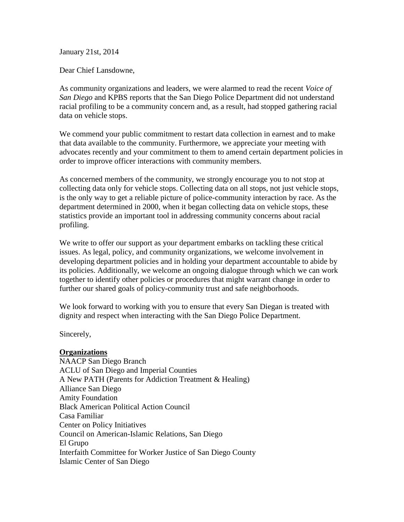January 21st, 2014

Dear Chief Lansdowne,

As community organizations and leaders, we were alarmed to read the recent *Voice of San Diego* and KPBS reports that the San Diego Police Department did not understand racial profiling to be a community concern and, as a result, had stopped gathering racial data on vehicle stops.

We commend your public commitment to restart data collection in earnest and to make that data available to the community. Furthermore, we appreciate your meeting with advocates recently and your commitment to them to amend certain department policies in order to improve officer interactions with community members.

As concerned members of the community, we strongly encourage you to not stop at collecting data only for vehicle stops. Collecting data on all stops, not just vehicle stops, is the only way to get a reliable picture of police-community interaction by race. As the department determined in 2000, when it began collecting data on vehicle stops, these statistics provide an important tool in addressing community concerns about racial profiling.

We write to offer our support as your department embarks on tackling these critical issues. As legal, policy, and community organizations, we welcome involvement in developing department policies and in holding your department accountable to abide by its policies. Additionally, we welcome an ongoing dialogue through which we can work together to identify other policies or procedures that might warrant change in order to further our shared goals of policy-community trust and safe neighborhoods.

We look forward to working with you to ensure that every San Diegan is treated with dignity and respect when interacting with the San Diego Police Department.

Sincerely,

## **Organizations**

NAACP San Diego Branch ACLU of San Diego and Imperial Counties A New PATH (Parents for Addiction Treatment & Healing) Alliance San Diego Amity Foundation Black American Political Action Council Casa Familiar Center on Policy Initiatives Council on American-Islamic Relations, San Diego El Grupo Interfaith Committee for Worker Justice of San Diego County Islamic Center of San Diego